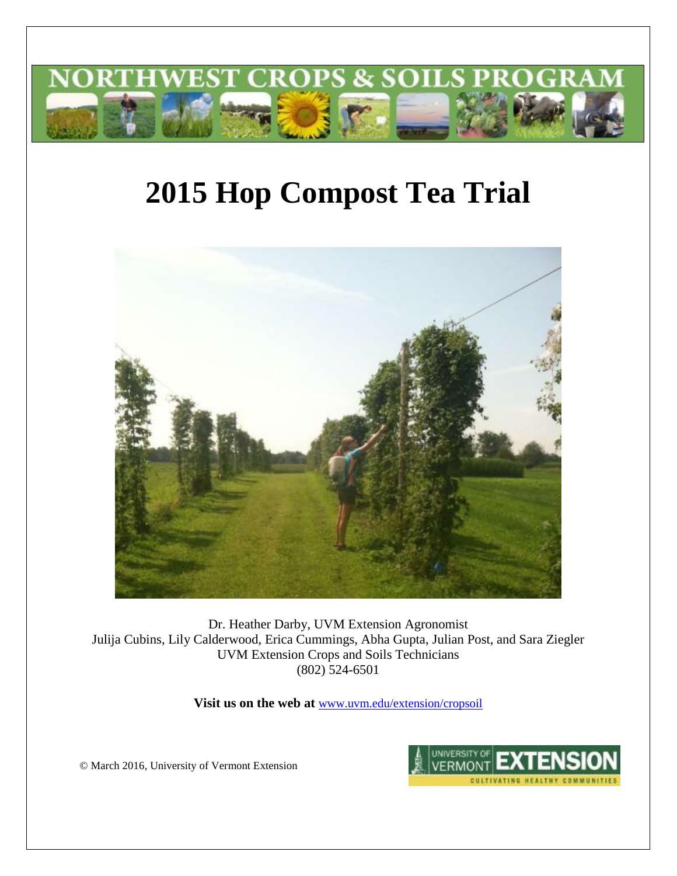

# **2015 Hop Compost Tea Trial**



Dr. Heather Darby, UVM Extension Agronomist Julija Cubins, Lily Calderwood, Erica Cummings, Abha Gupta, Julian Post, and Sara Ziegler UVM Extension Crops and Soils Technicians (802) 524-6501

**Visit us on the web at** [www.uvm.edu/extension/cropsoil](http://www.uvm.edu/extension/cropsoil)

© March 2016, University of Vermont Extension

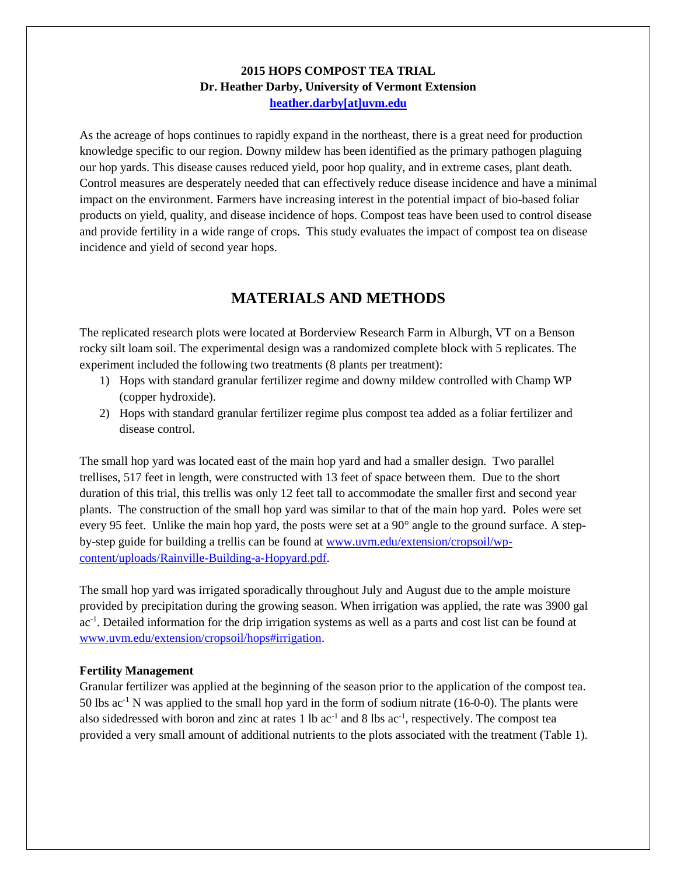## **2015 HOPS COMPOST TEA TRIAL Dr. Heather Darby, University of Vermont Extension [heather.darby\[at\]uvm.edu](mailto:heather.darby@uvm.edu?subject=2012%20Hops%20Variety%20Trial%20Report)**

As the acreage of hops continues to rapidly expand in the northeast, there is a great need for production knowledge specific to our region. Downy mildew has been identified as the primary pathogen plaguing our hop yards. This disease causes reduced yield, poor hop quality, and in extreme cases, plant death. Control measures are desperately needed that can effectively reduce disease incidence and have a minimal impact on the environment. Farmers have increasing interest in the potential impact of bio-based foliar products on yield, quality, and disease incidence of hops. Compost teas have been used to control disease and provide fertility in a wide range of crops. This study evaluates the impact of compost tea on disease incidence and yield of second year hops.

# **MATERIALS AND METHODS**

The replicated research plots were located at Borderview Research Farm in Alburgh, VT on a Benson rocky silt loam soil. The experimental design was a randomized complete block with 5 replicates. The experiment included the following two treatments (8 plants per treatment):

- 1) Hops with standard granular fertilizer regime and downy mildew controlled with Champ WP (copper hydroxide).
- 2) Hops with standard granular fertilizer regime plus compost tea added as a foliar fertilizer and disease control.

The small hop yard was located east of the main hop yard and had a smaller design. Two parallel trellises, 517 feet in length, were constructed with 13 feet of space between them. Due to the short duration of this trial, this trellis was only 12 feet tall to accommodate the smaller first and second year plants. The construction of the small hop yard was similar to that of the main hop yard. Poles were set every 95 feet. Unlike the main hop yard, the posts were set at a 90° angle to the ground surface. A stepby-step guide for building a trellis can be found at [www.uvm.edu/extension/cropsoil/wp](http://www.uvm.edu/extension/cropsoil/wp-content/uploads/Rainville-Building-a-Hopyard.pdf)[content/uploads/Rainville-Building-a-Hopyard.pdf.](http://www.uvm.edu/extension/cropsoil/wp-content/uploads/Rainville-Building-a-Hopyard.pdf)

The small hop yard was irrigated sporadically throughout July and August due to the ample moisture provided by precipitation during the growing season. When irrigation was applied, the rate was 3900 gal ac<sup>-1</sup>. Detailed information for the drip irrigation systems as well as a parts and cost list can be found at [www.uvm.edu/extension/cropsoil/hops#irrigation.](http://www.uvm.edu/extension/cropsoil/hops#irrigation)

### **Fertility Management**

Granular fertilizer was applied at the beginning of the season prior to the application of the compost tea. 50 lbs  $ac^{-1}$  N was applied to the small hop yard in the form of sodium nitrate (16-0-0). The plants were also sidedressed with boron and zinc at rates  $1 \text{ lb}$  ac<sup>-1</sup> and  $8 \text{ lbs}$  ac<sup>-1</sup>, respectively. The compost tea provided a very small amount of additional nutrients to the plots associated with the treatment (Table 1).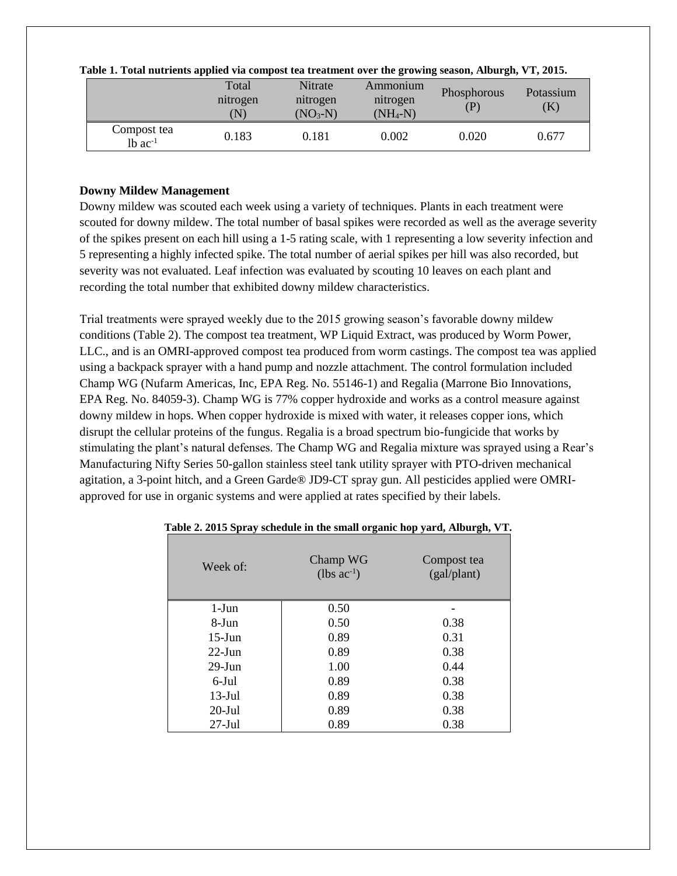|                                      | Total<br>nitrogen<br>$\left( \mathbf{N}\right)$ | Nitrate<br>nitrogen<br>$(NO3-N)$ | Ammonium<br>nitrogen<br>$(NH_4-N)$ | Phosphorous | Potassium<br>$\rm (K)$ |
|--------------------------------------|-------------------------------------------------|----------------------------------|------------------------------------|-------------|------------------------|
| Compost tea<br>$1b$ ac <sup>-1</sup> | 0.183                                           | 9.181                            | 0.002                              | 0.020       | 0.677                  |

| Table 1. Total nutrients applied via compost tea treatment over the growing season, Alburgh, VT, 2015. |  |  |  |  |  |
|--------------------------------------------------------------------------------------------------------|--|--|--|--|--|
|                                                                                                        |  |  |  |  |  |

## **Downy Mildew Management**

Downy mildew was scouted each week using a variety of techniques. Plants in each treatment were scouted for downy mildew. The total number of basal spikes were recorded as well as the average severity of the spikes present on each hill using a 1-5 rating scale, with 1 representing a low severity infection and 5 representing a highly infected spike. The total number of aerial spikes per hill was also recorded, but severity was not evaluated. Leaf infection was evaluated by scouting 10 leaves on each plant and recording the total number that exhibited downy mildew characteristics.

Trial treatments were sprayed weekly due to the 2015 growing season's favorable downy mildew conditions (Table 2). The compost tea treatment, WP Liquid Extract, was produced by Worm Power, LLC., and is an OMRI-approved compost tea produced from worm castings. The compost tea was applied using a backpack sprayer with a hand pump and nozzle attachment. The control formulation included Champ WG (Nufarm Americas, Inc, EPA Reg. No. 55146-1) and Regalia (Marrone Bio Innovations, EPA Reg. No. 84059-3). Champ WG is 77% copper hydroxide and works as a control measure against downy mildew in hops. When copper hydroxide is mixed with water, it releases copper ions, which disrupt the cellular proteins of the fungus. Regalia is a broad spectrum bio-fungicide that works by stimulating the plant's natural defenses. The Champ WG and Regalia mixture was sprayed using a Rear's Manufacturing Nifty Series 50-gallon stainless steel tank utility sprayer with PTO-driven mechanical agitation, a 3-point hitch, and a Green Garde® JD9-CT spray gun. All pesticides applied were OMRIapproved for use in organic systems and were applied at rates specified by their labels.

| Week of:  | Champ WG<br>$(lbs ac^{-1})$ | Compost tea<br>(gal/plant) |
|-----------|-----------------------------|----------------------------|
| $1-J$ un  | 0.50                        |                            |
| 8-Jun     | 0.50                        | 0.38                       |
| $15$ -Jun | 0.89                        | 0.31                       |
| $22$ -Jun | 0.89                        | 0.38                       |
| $29$ -Jun | 1.00                        | 0.44                       |
| $6$ -Jul  | 0.89                        | 0.38                       |
| $13$ -Jul | 0.89                        | 0.38                       |
| $20$ -Jul | 0.89                        | 0.38                       |
| $27$ -Jul | 0.89                        | 0.38                       |

|  |  | Table 2. 2015 Spray schedule in the small organic hop yard, Alburgh, VT. |  |
|--|--|--------------------------------------------------------------------------|--|
|  |  |                                                                          |  |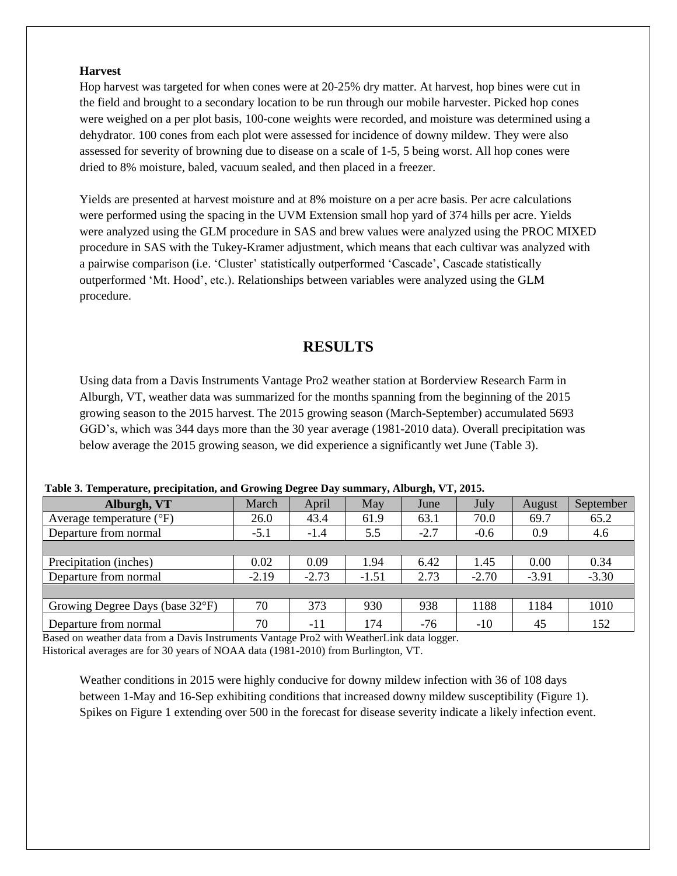#### **Harvest**

Hop harvest was targeted for when cones were at 20-25% dry matter. At harvest, hop bines were cut in the field and brought to a secondary location to be run through our mobile harvester. Picked hop cones were weighed on a per plot basis, 100-cone weights were recorded, and moisture was determined using a dehydrator. 100 cones from each plot were assessed for incidence of downy mildew. They were also assessed for severity of browning due to disease on a scale of 1-5, 5 being worst. All hop cones were dried to 8% moisture, baled, vacuum sealed, and then placed in a freezer.

Yields are presented at harvest moisture and at 8% moisture on a per acre basis. Per acre calculations were performed using the spacing in the UVM Extension small hop yard of 374 hills per acre. Yields were analyzed using the GLM procedure in SAS and brew values were analyzed using the PROC MIXED procedure in SAS with the Tukey-Kramer adjustment, which means that each cultivar was analyzed with a pairwise comparison (i.e. 'Cluster' statistically outperformed 'Cascade', Cascade statistically outperformed 'Mt. Hood', etc.). Relationships between variables were analyzed using the GLM procedure.

# **RESULTS**

Using data from a Davis Instruments Vantage Pro2 weather station at Borderview Research Farm in Alburgh, VT, weather data was summarized for the months spanning from the beginning of the 2015 growing season to the 2015 harvest. The 2015 growing season (March-September) accumulated 5693 GGD's, which was 344 days more than the 30 year average (1981-2010 data). Overall precipitation was below average the 2015 growing season, we did experience a significantly wet June (Table 3).

| Alburgh, VT                       | March   | April   | May     | June   | July    | August  | September |
|-----------------------------------|---------|---------|---------|--------|---------|---------|-----------|
| Average temperature $(^{\circ}F)$ | 26.0    | 43.4    | 61.9    | 63.1   | 70.0    | 69.7    | 65.2      |
| Departure from normal             | $-5.1$  | $-1.4$  | 5.5     | $-2.7$ | $-0.6$  | 0.9     | 4.6       |
|                                   |         |         |         |        |         |         |           |
| Precipitation (inches)            | 0.02    | 0.09    | 1.94    | 6.42   | 1.45    | 0.00    | 0.34      |
| Departure from normal             | $-2.19$ | $-2.73$ | $-1.51$ | 2.73   | $-2.70$ | $-3.91$ | $-3.30$   |
|                                   |         |         |         |        |         |         |           |
| Growing Degree Days (base 32°F)   | 70      | 373     | 930     | 938    | 1188    | 1184    | 1010      |
| Departure from normal             | 70      | $-11$   | 174     | $-76$  | $-10$   | 45      | 152       |

**Table 3. Temperature, precipitation, and Growing Degree Day summary, Alburgh, VT, 2015.**

Based on weather data from a Davis Instruments Vantage Pro2 with WeatherLink data logger. Historical averages are for 30 years of NOAA data (1981-2010) from Burlington, VT.

Weather conditions in 2015 were highly conducive for downy mildew infection with 36 of 108 days between 1-May and 16-Sep exhibiting conditions that increased downy mildew susceptibility (Figure 1). Spikes on Figure 1 extending over 500 in the forecast for disease severity indicate a likely infection event.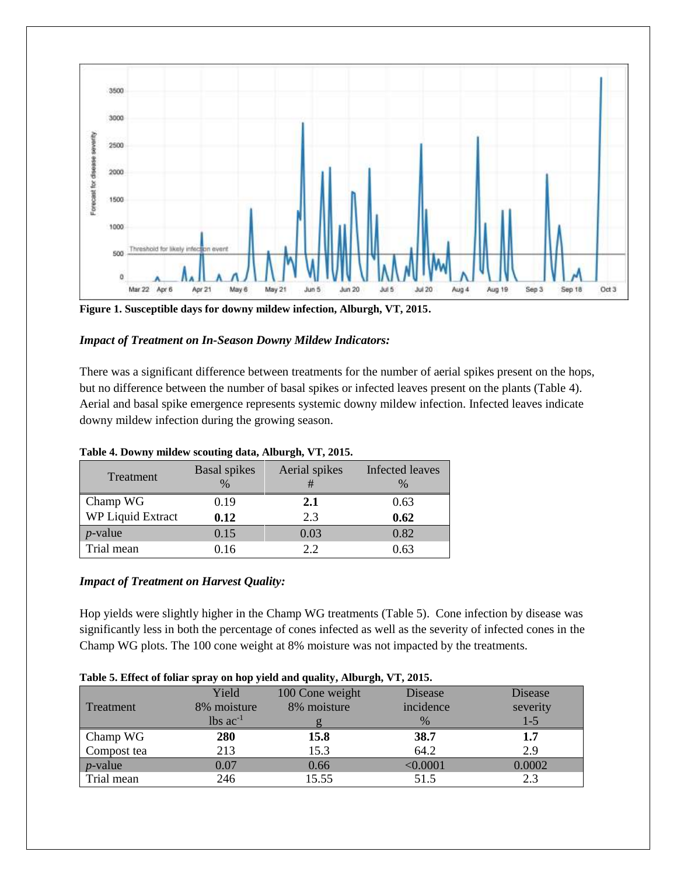

**Figure 1. Susceptible days for downy mildew infection, Alburgh, VT, 2015.**

## *Impact of Treatment on In-Season Downy Mildew Indicators:*

There was a significant difference between treatments for the number of aerial spikes present on the hops, but no difference between the number of basal spikes or infected leaves present on the plants (Table 4). Aerial and basal spike emergence represents systemic downy mildew infection. Infected leaves indicate downy mildew infection during the growing season.

| Treatment         | <b>Basal</b> spikes<br>$\%$ | Aerial spikes<br># | Infected leaves |
|-------------------|-----------------------------|--------------------|-----------------|
| Champ WG          | 0.19                        | 2.1                | 0.63            |
| WP Liquid Extract | 0.12                        | 2.3                | 0.62            |
| $p$ -value        | 0.15                        | 0.03               | 0.82            |
| Trial mean        | 0.16                        | 2.2                | 0.63            |

### **Table 4. Downy mildew scouting data, Alburgh, VT, 2015.**

### *Impact of Treatment on Harvest Quality:*

Hop yields were slightly higher in the Champ WG treatments (Table 5). Cone infection by disease was significantly less in both the percentage of cones infected as well as the severity of infected cones in the Champ WG plots. The 100 cone weight at 8% moisture was not impacted by the treatments.

| Table 5. Effect of foliar spray on hop yield and quality, Abourgil, v 1, 2013. |                        |                 |           |          |  |  |  |  |  |
|--------------------------------------------------------------------------------|------------------------|-----------------|-----------|----------|--|--|--|--|--|
|                                                                                | Yield                  | 100 Cone weight | Disease   | Disease  |  |  |  |  |  |
| Treatment                                                                      | 8% moisture            | 8% moisture     | incidence | severity |  |  |  |  |  |
|                                                                                | $lbs$ ac <sup>-1</sup> |                 | $\%$      | $1 - 5$  |  |  |  |  |  |
| Champ WG                                                                       | 280                    | 15.8            | 38.7      | 1.7      |  |  |  |  |  |
| Compost tea                                                                    | 213                    | 15.3            | 64.2      | 2.9      |  |  |  |  |  |
| $p$ -value                                                                     | 0.07                   | 0.66            | < 0.0001  | 0.0002   |  |  |  |  |  |
| Trial mean                                                                     | 246                    | 15.55           | 51.5      | 2.3      |  |  |  |  |  |

#### **Table 5. Effect of foliar spray on hop yield and quality, Alburgh, VT, 2015.**